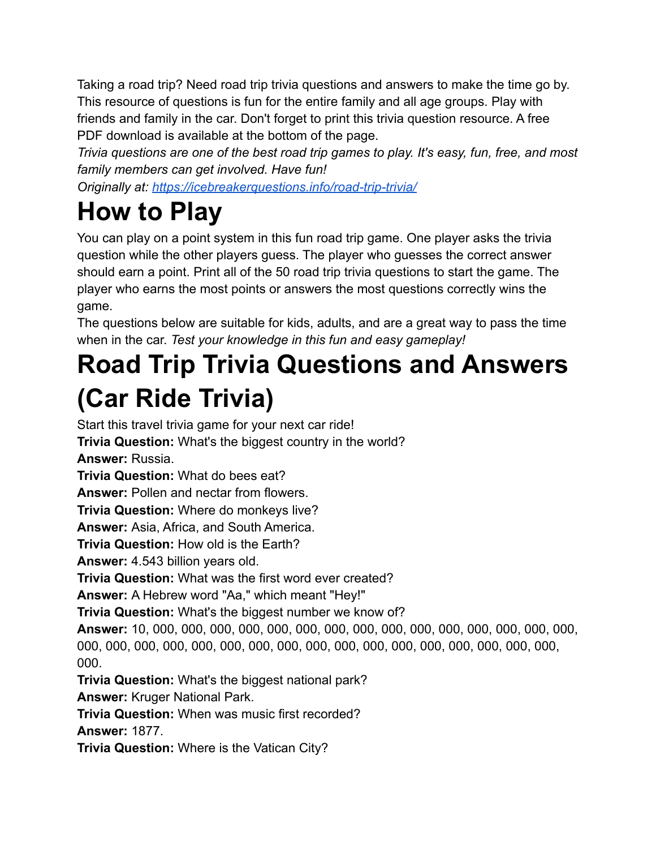Taking a road trip? Need road trip trivia questions and answers to make the time go by. This resource of questions is fun for the entire family and all age groups. Play with friends and family in the car. Don't forget to print this trivia question resource. A free PDF download is available at the bottom of the page.

*Trivia questions are one of the best road trip games to play. It's easy, fun, free, and most family members can get involved. Have fun!*

*Originally at: <https://icebreakerquestions.info/road-trip-trivia/>*

## **How to Play**

You can play on a point system in this fun road trip game. One player asks the trivia question while the other players guess. The player who guesses the correct answer should earn a point. Print all of the 50 road trip trivia questions to start the game. The player who earns the most points or answers the most questions correctly wins the game.

The questions below are suitable for kids, adults, and are a great way to pass the time when in the car. *Test your knowledge in this fun and easy gameplay!*

## **Road Trip Trivia Questions and Answers (Car Ride Trivia)**

Start this travel trivia game for your next car ride! **Trivia Question:** What's the biggest country in the world? **Answer:** Russia. **Trivia Question:** What do bees eat? **Answer:** Pollen and nectar from flowers. **Trivia Question:** Where do monkeys live? **Answer:** Asia, Africa, and South America. **Trivia Question:** How old is the Earth? **Answer:** 4.543 billion years old. **Trivia Question:** What was the first word ever created? **Answer:** A Hebrew word "Aa," which meant "Hey!" **Trivia Question:** What's the biggest number we know of? **Answer:** 10, 000, 000, 000, 000, 000, 000, 000, 000, 000, 000, 000, 000, 000, 000, 000, 000, 000, 000, 000, 000, 000, 000, 000, 000, 000, 000, 000, 000, 000, 000, 000, 000, 000. **Trivia Question:** What's the biggest national park? **Answer:** Kruger National Park. **Trivia Question:** When was music first recorded? **Answer:** 1877.

**Trivia Question:** Where is the Vatican City?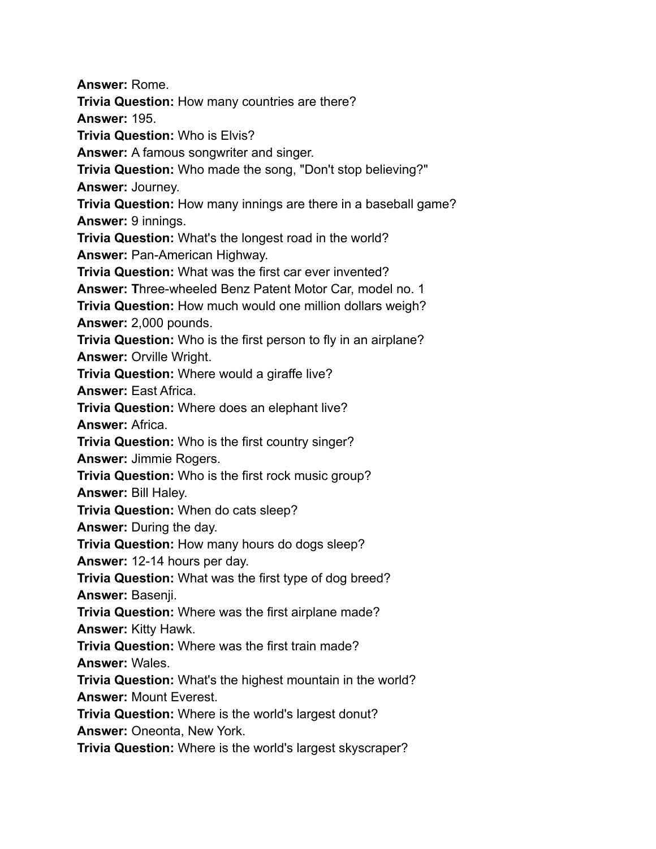**Answer:** Rome. **Trivia Question:** How many countries are there? **Answer:** 195. **Trivia Question:** Who is Elvis? **Answer:** A famous songwriter and singer. **Trivia Question:** Who made the song, "Don't stop believing?" **Answer:** Journey. **Trivia Question:** How many innings are there in a baseball game? **Answer:** 9 innings. **Trivia Question:** What's the longest road in the world? **Answer:** Pan-American Highway. **Trivia Question:** What was the first car ever invented? **Answer: T**hree-wheeled Benz Patent Motor Car, model no. 1 **Trivia Question:** How much would one million dollars weigh? **Answer:** 2,000 pounds. **Trivia Question:** Who is the first person to fly in an airplane? **Answer:** Orville Wright. **Trivia Question:** Where would a giraffe live? **Answer:** East Africa. **Trivia Question:** Where does an elephant live? **Answer:** Africa. **Trivia Question:** Who is the first country singer? **Answer:** Jimmie Rogers. **Trivia Question:** Who is the first rock music group? **Answer:** Bill Haley. **Trivia Question:** When do cats sleep? **Answer:** During the day. **Trivia Question:** How many hours do dogs sleep? **Answer:** 12-14 hours per day. **Trivia Question:** What was the first type of dog breed? **Answer:** Basenji. **Trivia Question:** Where was the first airplane made? **Answer:** Kitty Hawk. **Trivia Question:** Where was the first train made? **Answer:** Wales. **Trivia Question:** What's the highest mountain in the world? **Answer:** Mount Everest. **Trivia Question:** Where is the world's largest donut? **Answer:** Oneonta, New York. **Trivia Question:** Where is the world's largest skyscraper?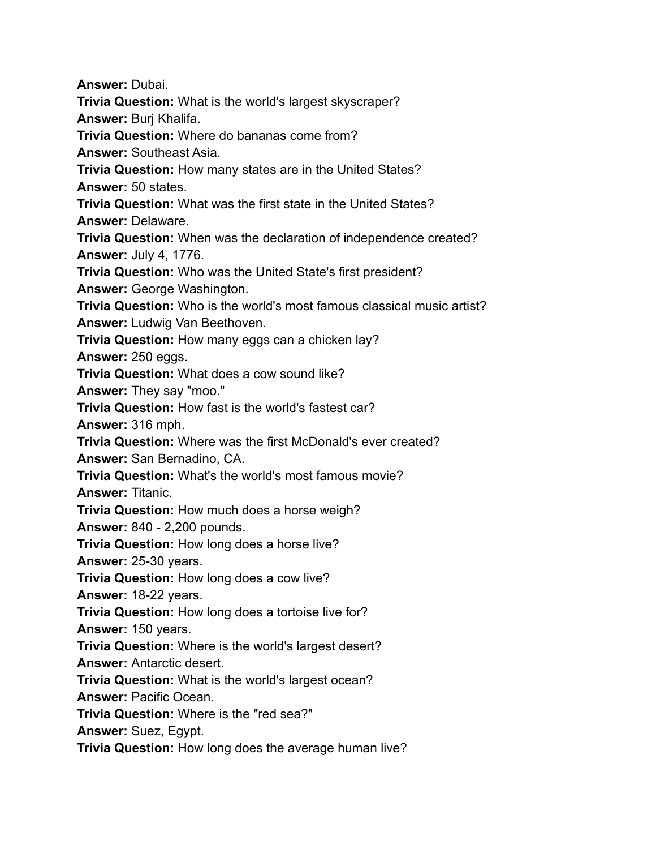**Answer:** Dubai.

**Trivia Question:** What is the world's largest skyscraper?

**Answer:** Burj Khalifa.

**Trivia Question:** Where do bananas come from?

**Answer:** Southeast Asia.

**Trivia Question:** How many states are in the United States? **Answer:** 50 states.

**Trivia Question:** What was the first state in the United States?

**Answer:** Delaware.

**Trivia Question:** When was the declaration of independence created? **Answer:** July 4, 1776.

**Trivia Question:** Who was the United State's first president?

**Answer:** George Washington.

**Trivia Question:** Who is the world's most famous classical music artist? **Answer:** Ludwig Van Beethoven.

**Trivia Question:** How many eggs can a chicken lay?

**Answer:** 250 eggs.

**Trivia Question:** What does a cow sound like?

**Answer:** They say "moo."

**Trivia Question:** How fast is the world's fastest car?

**Answer:** 316 mph.

**Trivia Question:** Where was the first McDonald's ever created?

**Answer:** San Bernadino, CA.

**Trivia Question:** What's the world's most famous movie?

**Answer:** Titanic.

**Trivia Question:** How much does a horse weigh?

**Answer:** 840 - 2,200 pounds.

**Trivia Question:** How long does a horse live?

**Answer:** 25-30 years.

**Trivia Question:** How long does a cow live?

**Answer:** 18-22 years.

**Trivia Question:** How long does a tortoise live for?

**Answer:** 150 years.

**Trivia Question:** Where is the world's largest desert?

**Answer:** Antarctic desert.

**Trivia Question:** What is the world's largest ocean?

**Answer:** Pacific Ocean.

**Trivia Question:** Where is the "red sea?"

**Answer:** Suez, Egypt.

**Trivia Question:** How long does the average human live?